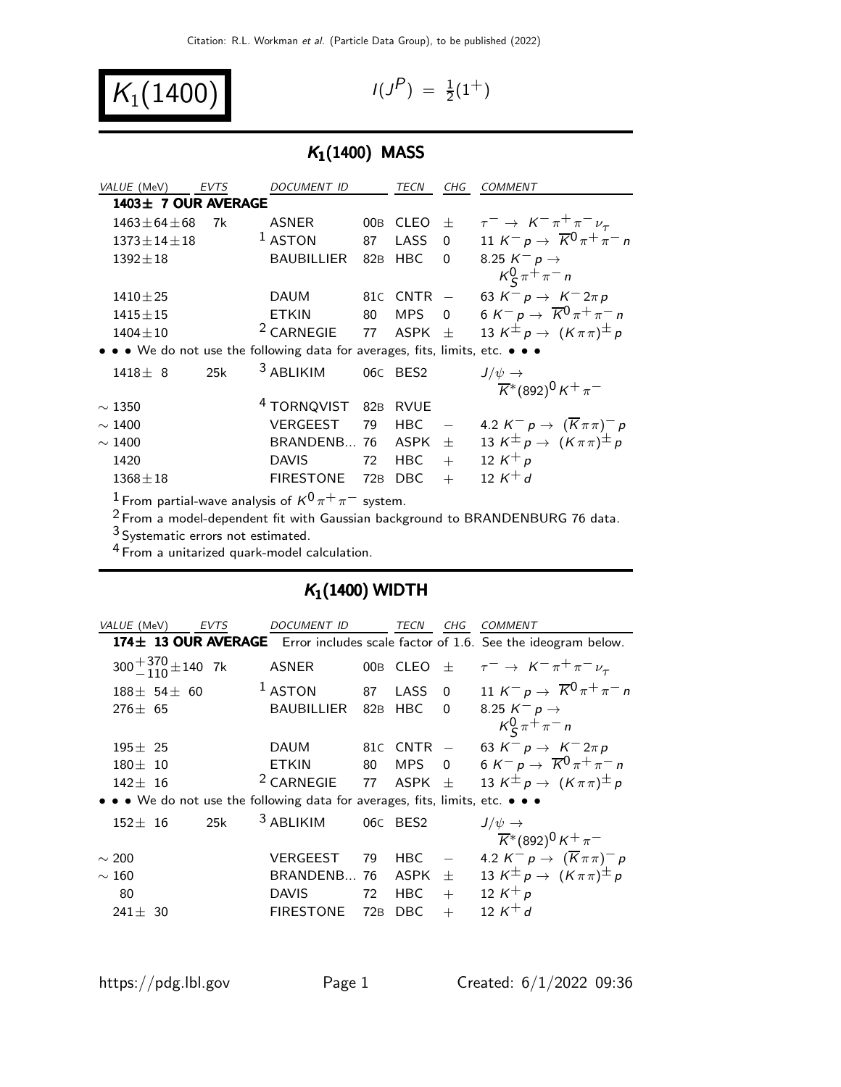$K_1(1400)$ 

$$
I(J^P) \; = \; {\textstyle \frac{1}{2}} (1^+)
$$

## $K_1(1400)$  MASS

| VALUE (MeV)                     | <b>EVTS</b> | <i>DOCUMENT ID</i>                                                            |     | TECN           | CHG                      | <b>COMMENT</b>                                                         |
|---------------------------------|-------------|-------------------------------------------------------------------------------|-----|----------------|--------------------------|------------------------------------------------------------------------|
| 1403± 7 OUR AVERAGE             |             |                                                                               |     |                |                          |                                                                        |
| $1463 \pm 64 \pm 68$            | 7k          | <b>ASNER</b>                                                                  |     | 00B CLEO       | $\pm$                    | $\tau^ \rightarrow$ $K^ \pi^+$ $\pi^ \nu_{\tau}$                       |
| $1373 \pm 14 \pm 18$            |             | $1$ ASTON                                                                     | 87  | <b>LASS</b>    | $\Omega$                 | 11 $K^- p \to \overline{K}^0 \pi^+ \pi^- n$                            |
| $1392 \pm 18$                   |             | <b>BAUBILLIER</b>                                                             | 82B | <b>HBC</b>     | 0                        | 8.25 $K^- p \rightarrow$                                               |
|                                 |             |                                                                               |     |                |                          | $K_S^0 \pi^+ \pi^- n$                                                  |
| $1410 \pm 25$                   |             | <b>DAUM</b>                                                                   |     | $81C$ CNTR $-$ |                          | 63 $K^- p \to K^- 2\pi p$                                              |
| $1415 \pm 15$                   |             | <b>ETKIN</b>                                                                  | 80  | <b>MPS</b>     | $\overline{0}$           | 6 K <sup>-</sup> p $\rightarrow \overline{K}^0 \pi^+ \pi^-$ n          |
| $1404 \pm 10$                   |             | <sup>2</sup> CARNEGIE                                                         | 77  | ASPK $\pm$     |                          | 13 K <sup><math>\pm</math></sup> p $\rightarrow$ $(K \pi \pi)^{\pm}$ p |
|                                 |             | • • • We do not use the following data for averages, fits, limits, etc. • • • |     |                |                          |                                                                        |
| $1418 \pm 8$                    | 25k         | <sup>3</sup> ABLIKIM                                                          |     | 06C BES2       |                          | $J/\psi \rightarrow$                                                   |
|                                 |             |                                                                               |     |                |                          | $\overline{K}$ *(892) <sup>0</sup> K <sup>+</sup> $\pi$ <sup>-</sup>   |
| $\sim$ 1350                     |             | <sup>4</sup> TORNQVIST 82B                                                    |     | <b>RVUE</b>    |                          |                                                                        |
| $\sim$ 1400                     |             | <b>VERGEEST</b>                                                               | 79  | <b>HBC</b>     | $\overline{\phantom{0}}$ | 4.2 $K^- p \rightarrow (\overline{K} \pi \pi)^- p$                     |
| $\sim$ 1400                     |             | BRANDENB 76                                                                   |     | ASPK           | $\pm$                    | 13 K <sup><math>\pm</math></sup> p $\rightarrow$ $(K \pi \pi)^{\pm}$ p |
| 1420                            |             | <b>DAVIS</b>                                                                  | 72  | <b>HBC</b>     | $+$                      | 12 $K^+ p$                                                             |
| $1368 \pm 18$                   |             | <b>FIRESTONE</b>                                                              | 72B | <b>DBC</b>     | $^{+}$                   | 12 $K^+d$                                                              |
| $1  \cdots$ $1  \alpha/0 +$ $-$ |             |                                                                               |     |                |                          |                                                                        |

 $\cdot$  From partial-wave analysis of  $\mathsf{K}^{\mathsf{U}} \pi^+ \pi^-$  system.

Prom partial-wave analysis of the macrosoft.<br>
<sup>2</sup> From a model-dependent fit with Gaussian background to BRANDENBURG 76 data.

3 Systematic errors not estimated.

4 From a unitarized quark-model calculation.

### $K_1(1400)$  WIDTH

| VALUE (MeV)<br>EVTS                                                           | DOCUMENT ID              |     | TECN            | CHG            | <i>COMMENT</i>                                                                  |
|-------------------------------------------------------------------------------|--------------------------|-----|-----------------|----------------|---------------------------------------------------------------------------------|
|                                                                               |                          |     |                 |                | 174± 13 OUR AVERAGE Error includes scale factor of 1.6. See the ideogram below. |
| $300 + \frac{370}{110} \pm 140$ 7k                                            | <b>ASNER</b>             | 00B | CLEO            | 士              | $\tau^ \rightarrow$ $K^ \pi^+$ $\pi^ \nu_{\tau}$                                |
| $188 \pm 54 \pm 60$                                                           | $1$ ASTON                | 87  | LASS            | $\overline{0}$ | 11 $K^- p \rightarrow \overline{K}^0 \pi^+ \pi^- n$                             |
| $276 \pm 65$                                                                  | <b>BAUBILLIER</b>        | 82B | <b>HBC</b>      | $\Omega$       | 8.25 $K^- p \rightarrow$                                                        |
|                                                                               |                          |     |                 |                | $K_S^0 \pi^+ \pi^- n$                                                           |
| $195 \pm 25$                                                                  | DAUM                     |     | 81 $c$ CNTR $-$ |                | 63 $K^- p \to K^- 2\pi p$                                                       |
| $180 \pm 10$                                                                  | <b>ETKIN</b>             | 80  | <b>MPS</b>      | $\overline{0}$ | 6 K <sup>-</sup> p $\rightarrow \overline{K}^0 \pi^+ \pi^-$ n                   |
| $142 \pm 16$                                                                  | <sup>2</sup> CARNEGIE 77 |     | ASPK $\pm$      |                | 13 K <sup><math>\pm</math></sup> p $\rightarrow$ $(K \pi \pi)^{\pm}$ p          |
| • • • We do not use the following data for averages, fits, limits, etc. • • • |                          |     |                 |                |                                                                                 |
| 25k<br>$152 \pm 16$                                                           | <sup>3</sup> ABLIKIM     |     | 06C BES2        |                | $J/\psi \rightarrow$                                                            |
|                                                                               |                          |     |                 |                | $\overline{K}$ *(892) <sup>0</sup> K <sup>+</sup> $\pi^-$                       |
| $\sim$ 200                                                                    | VERGEEST                 | 79  | <b>HBC</b>      |                | 4.2 $K^- p \rightarrow (\overline{K} \pi \pi)^- p$                              |
| $\sim160$                                                                     | BRANDENB 76              |     | ASPK            | $\pm$          | 13 $K^{\pm} p \rightarrow (K \pi \pi)^{\pm} p$                                  |
| 80                                                                            | <b>DAVIS</b>             | 72  | <b>HBC</b>      | $+$            | 12 $K^+ p$                                                                      |
| $241 \pm 30$                                                                  | <b>FIRESTONE</b>         | 72B | DBC.            | $+$            | 12 $K^+ d$                                                                      |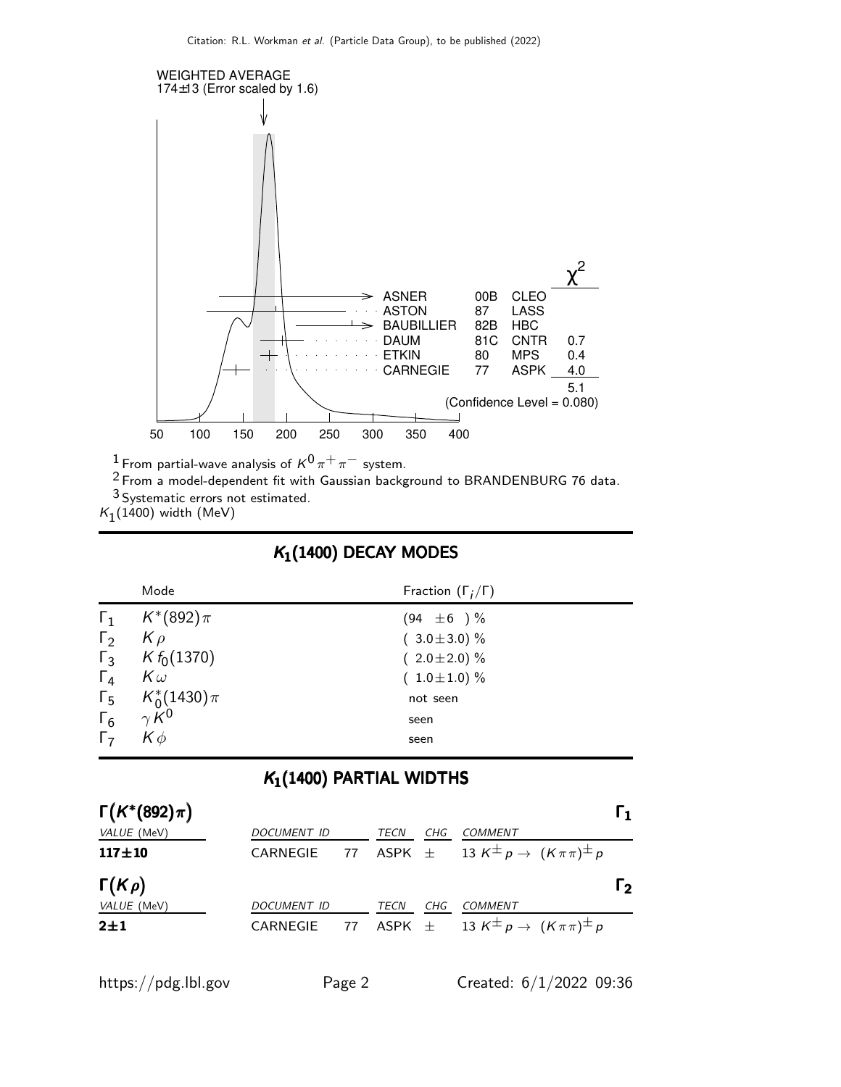

 $^1$  From partial-wave analysis of  $\kappa^0\pi^+\pi^-$  system.

 $2$  From a model-dependent fit with Gaussian background to BRANDENBURG 76 data.

3 Systematic errors not estimated.

 $K_1(1400)$  width (MeV)

#### $K_1(1400)$  DECAY MODES

|            | Mode                        | Fraction $(\Gamma_i/\Gamma)$ |
|------------|-----------------------------|------------------------------|
|            | $\Gamma_1$ $K^*(892)\pi$    | $(94 \pm 6) \%$              |
| $\Gamma_2$ | $K \rho$                    | $(3.0 \pm 3.0)$ %            |
|            | $\Gamma_3$ K $f_0(1370)$    | $(2.0 \pm 2.0)$ %            |
| $\Gamma_4$ | $K\omega$                   | $(1.0 \pm 1.0) \%$           |
|            | $\Gamma_5$ $K_0^*(1430)\pi$ | not seen                     |
|            | $\Gamma_6$ $\gamma K^0$     | seen                         |
| $\Gamma$   | $K\phi$                     | seen                         |

#### $K_1(1400)$  PARTIAL WIDTHS

| $\Gamma(K^*(892)\pi)$ |             |      |     |                                                                                      | I 1.           |
|-----------------------|-------------|------|-----|--------------------------------------------------------------------------------------|----------------|
| VALUE (MeV)           | DOCUMENT ID | TECN | CHG | COMMENT                                                                              |                |
| $117 + 10$            | CARNEGIE    |      |     | 77 ASPK $\pm$ 13 K <sup><math>\pm</math></sup> p $\rightarrow$ $(K \pi \pi)^{\pm}$ p |                |
| $\Gamma(K \rho)$      |             |      |     |                                                                                      | $\mathsf{r}_2$ |
| VALUE (MeV)           | DOCUMENT ID | TECN | CHG | COMMENT                                                                              |                |
| $2\pm1$               | CARNEGIE    |      |     | 77 ASPK $\pm$ 13 K <sup><math>\pm</math></sup> p $\rightarrow$ $(K \pi \pi)^{\pm} p$ |                |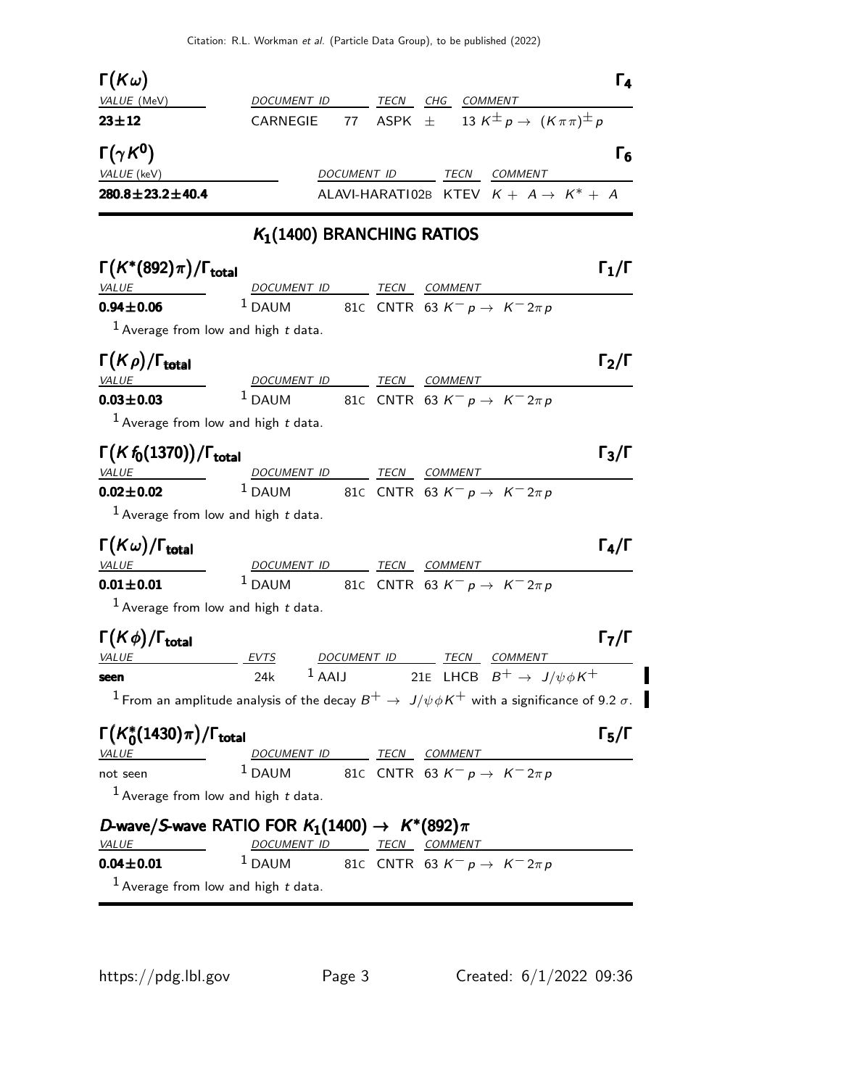| $\Gamma(K\omega)$                           |                                                             |             |                                                                                                                   | $\Gamma_4$                          |
|---------------------------------------------|-------------------------------------------------------------|-------------|-------------------------------------------------------------------------------------------------------------------|-------------------------------------|
| VALUE (MeV)                                 | DOCUMENT ID                                                 | TECN        | CHG<br>COMMENT                                                                                                    |                                     |
| $23 + 12$                                   | 77<br>CARNEGIE                                              |             | 13 $K^{\pm} p \rightarrow (K \pi \pi)^{\pm} p$<br>ASPK $\pm$                                                      |                                     |
| $\Gamma(\gamma K^0)$                        |                                                             |             |                                                                                                                   | $\mathsf{F}_6$                      |
| VALUE (keV)                                 |                                                             | DOCUMENT ID | TECN COMMENT                                                                                                      |                                     |
| $280.8 \pm 23.2 \pm 40.4$                   |                                                             |             | ALAVI-HARATI02B KTEV $K + A \rightarrow K^* + A$                                                                  |                                     |
|                                             | $K_1(1400)$ BRANCHING RATIOS                                |             |                                                                                                                   |                                     |
| $\Gamma(K^*(892)\pi)/\Gamma_{\rm total}$    |                                                             |             |                                                                                                                   | $\mathsf{\Gamma_1}/\mathsf{\Gamma}$ |
| <b>VALUE</b>                                | DOCUMENT ID TECN COMMENT                                    |             |                                                                                                                   |                                     |
| $0.94 \pm 0.06$                             | $1$ DAUM                                                    |             | 81C CNTR 63 $K^ p \rightarrow K^ 2\pi p$                                                                          |                                     |
|                                             | <sup>1</sup> Average from low and high $t$ data.            |             |                                                                                                                   |                                     |
| $\Gamma(K\rho)/\Gamma_{\rm total}$          |                                                             |             |                                                                                                                   | $\mathsf{\Gamma}_2/\mathsf{\Gamma}$ |
| <b>VALUE</b>                                | DOCUMENT ID                                                 |             | TECN COMMENT                                                                                                      |                                     |
| $0.03 \pm 0.03$                             | $1$ DAUM                                                    |             | 81C CNTR 63 $K^ p \rightarrow K^-$ 2 $\pi$ $p$                                                                    |                                     |
|                                             | <sup>1</sup> Average from low and high $t$ data.            |             |                                                                                                                   |                                     |
| $\Gamma(Kf_0(1370))/\Gamma_{\text{total}}$  |                                                             |             |                                                                                                                   | $\Gamma_3/\Gamma$                   |
| <b>VALUE</b>                                | DOCUMENT ID TECN COMMENT                                    |             |                                                                                                                   |                                     |
| $0.02 \pm 0.02$                             |                                                             |             | <sup>1</sup> DAUM 81C CNTR 63 $K^- p \rightarrow K^- 2\pi p$                                                      |                                     |
|                                             | <sup>1</sup> Average from low and high $t$ data.            |             |                                                                                                                   |                                     |
| $\Gamma(K\omega)/\Gamma_{\rm total}$        |                                                             |             |                                                                                                                   | $\Gamma_4/\Gamma$                   |
| VALUE                                       | DOCUMENT ID                                                 |             | TECN COMMENT                                                                                                      |                                     |
| $0.01 \pm 0.01$                             | $1$ DAUM                                                    |             | 81C CNTR 63 $K^ p \rightarrow K^ 2\pi p$                                                                          |                                     |
|                                             | <sup>1</sup> Average from low and high $t$ data.            |             |                                                                                                                   |                                     |
| $\Gamma(K\phi)/\Gamma_{\rm total}$          |                                                             |             |                                                                                                                   | Г $_{\rm 7}/$ Г                     |
| <b>VALUE</b>                                | EVTS                                                        | DOCUMENT ID | TECN<br>COMMENT                                                                                                   |                                     |
| seen                                        | 24k                                                         |             | <sup>1</sup> AAIJ 21E LHCB $B^+ \rightarrow J/\psi \phi K^+$                                                      |                                     |
|                                             |                                                             |             | $^{-1}$ From an amplitude analysis of the decay $B^+ \to \ J/\psi \phi K^+$ with a significance of 9.2 $\sigma$ . |                                     |
| $\Gamma(K_0^*(1430)\pi)/\Gamma_{\rm total}$ |                                                             |             |                                                                                                                   | $\Gamma_5/\Gamma$                   |
| <i><b>VALUE</b></i>                         | DOCUMENT ID TECN COMMENT                                    |             |                                                                                                                   |                                     |
| not seen                                    | $1$ DAUM                                                    |             | 81C CNTR 63 $K^- p \to K^- 2\pi p$                                                                                |                                     |
|                                             | $1$ Average from low and high $t$ data.                     |             |                                                                                                                   |                                     |
|                                             | D-wave/S-wave RATIO FOR $K_1(1400) \rightarrow K^*(892)\pi$ |             |                                                                                                                   |                                     |
| VALUE                                       | DOCUMENT ID TECN COMMENT                                    |             |                                                                                                                   |                                     |
| $0.04 \pm 0.01$                             | $1$ DAUM                                                    |             | 81C CNTR 63 $K^ p\rightarrow$ $K^ 2\pi$ $p$                                                                       |                                     |
|                                             |                                                             |             |                                                                                                                   |                                     |